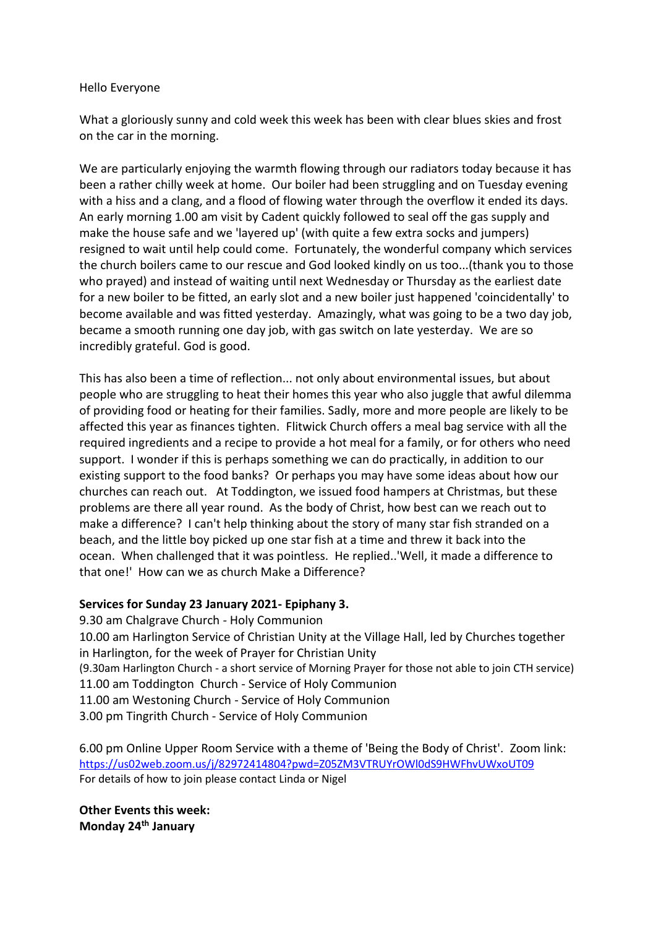#### Hello Everyone

What a gloriously sunny and cold week this week has been with clear blues skies and frost on the car in the morning.

We are particularly enjoying the warmth flowing through our radiators today because it has been a rather chilly week at home. Our boiler had been struggling and on Tuesday evening with a hiss and a clang, and a flood of flowing water through the overflow it ended its days. An early morning 1.00 am visit by Cadent quickly followed to seal off the gas supply and make the house safe and we 'layered up' (with quite a few extra socks and jumpers) resigned to wait until help could come. Fortunately, the wonderful company which services the church boilers came to our rescue and God looked kindly on us too...(thank you to those who prayed) and instead of waiting until next Wednesday or Thursday as the earliest date for a new boiler to be fitted, an early slot and a new boiler just happened 'coincidentally' to become available and was fitted yesterday. Amazingly, what was going to be a two day job, became a smooth running one day job, with gas switch on late yesterday. We are so incredibly grateful. God is good.

This has also been a time of reflection... not only about environmental issues, but about people who are struggling to heat their homes this year who also juggle that awful dilemma of providing food or heating for their families. Sadly, more and more people are likely to be affected this year as finances tighten. Flitwick Church offers a meal bag service with all the required ingredients and a recipe to provide a hot meal for a family, or for others who need support. I wonder if this is perhaps something we can do practically, in addition to our existing support to the food banks? Or perhaps you may have some ideas about how our churches can reach out. At Toddington, we issued food hampers at Christmas, but these problems are there all year round. As the body of Christ, how best can we reach out to make a difference? I can't help thinking about the story of many star fish stranded on a beach, and the little boy picked up one star fish at a time and threw it back into the ocean. When challenged that it was pointless. He replied..'Well, it made a difference to that one!' How can we as church Make a Difference?

#### **Services for Sunday 23 January 2021- Epiphany 3.**

9.30 am Chalgrave Church - Holy Communion 10.00 am Harlington Service of Christian Unity at the Village Hall, led by Churches together in Harlington, for the week of Prayer for Christian Unity (9.30am Harlington Church - a short service of Morning Prayer for those not able to join CTH service) 11.00 am Toddington Church - Service of Holy Communion 11.00 am Westoning Church - Service of Holy Communion 3.00 pm Tingrith Church - Service of Holy Communion

6.00 pm Online Upper Room Service with a theme of 'Being the Body of Christ'. Zoom link: <https://us02web.zoom.us/j/82972414804?pwd=Z05ZM3VTRUYrOWl0dS9HWFhvUWxoUT09> For details of how to join please contact Linda or Nigel

**Other Events this week: Monday 24th January**